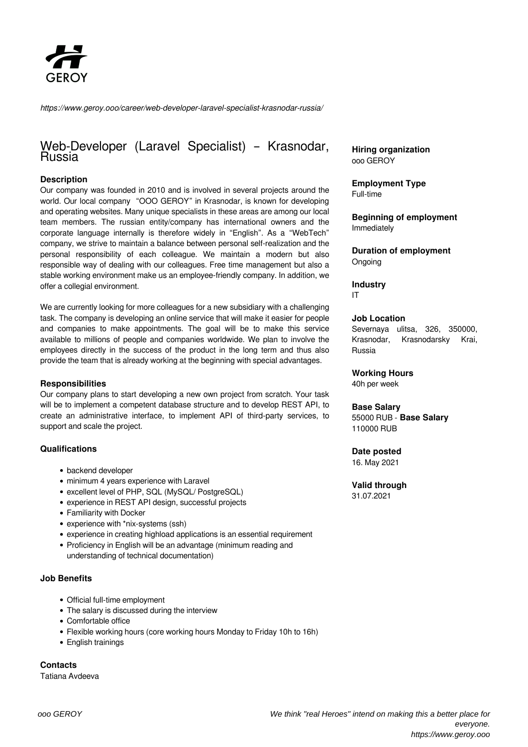

*https://www.geroy.ooo/career/web-developer-laravel-specialist-krasnodar-russia/*

# Web-Developer (Laravel Specialist) – Krasnodar, Russia

## **Description**

Our company was founded in 2010 and is involved in several projects around the world. Our local company "OOO GEROY" in Krasnodar, is known for developing and operating websites. Many unique specialists in these areas are among our local team members. The russian entity/company has international owners and the corporate language internally is therefore widely in "English". As a "WebTech" company, we strive to maintain a balance between personal self-realization and the personal responsibility of each colleague. We maintain a modern but also responsible way of dealing with our colleagues. Free time management but also a stable working environment make us an employee-friendly company. In addition, we offer a collegial environment.

We are currently looking for more colleagues for a new subsidiary with a challenging task. The company is developing an online service that will make it easier for people and companies to make appointments. The goal will be to make this service available to millions of people and companies worldwide. We plan to involve the employees directly in the success of the product in the long term and thus also provide the team that is already working at the beginning with special advantages.

#### **Responsibilities**

Our company plans to start developing a new own project from scratch. Your task will be to implement a competent database structure and to develop REST API, to create an administrative interface, to implement API of third-party services, to support and scale the project.

#### **Qualifications**

- backend developer
- minimum 4 years experience with Laravel
- excellent level of PHP, SQL (MySQL/ PostgreSQL)
- experience in REST API design, successful projects
- Familiarity with Docker
- experience with \*nix-systems (ssh)
- experience in creating highload applications is an essential requirement
- Proficiency in English will be an advantage (minimum reading and understanding of technical documentation)

### **Job Benefits**

- Official full-time employment
- The salary is discussed during the interview
- Comfortable office
- Flexible working hours (core working hours Monday to Friday 10h to 16h)
- English trainings

**Contacts**

Tatiana Avdeeva

**Hiring organization** ooo GEROY

**Employment Type** Full-time

**Beginning of employment** Immediately

**Duration of employment** Ongoing

**Industry** IT

#### **Job Location**

Severnaya ulitsa, 326, 350000, Krasnodar, Krasnodarsky Krai, Russia

**Working Hours**

40h per week

#### **Base Salary**

55000 RUB - **Base Salary** 110000 RUB

#### **Date posted**

16. May 2021

## **Valid through**

31.07.2021